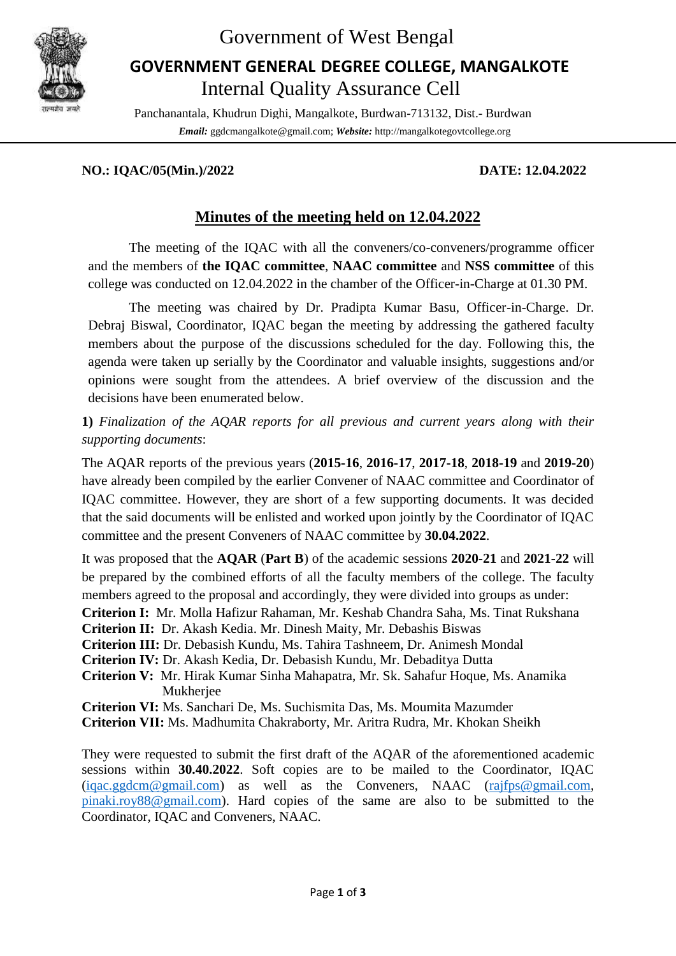

## Government of West Bengal

## Internal Quality Assurance Cell **GOVERNMENT GENERAL DEGREE COLLEGE, MANGALKOTE**

Panchanantala, Khudrun Dighi, Mangalkote, Burdwan-713132, Dist.- Burdwan *Email:* ggdcmangalkote@gmail.com; *Website:* http://mangalkotegovtcollege.org

#### **NO.: IQAC/05(Min.)/2022 DATE: 12.04.2022**

## **Minutes of the meeting held on 12.04.2022**

The meeting of the IQAC with all the conveners/co-conveners/programme officer and the members of **the IQAC committee**, **NAAC committee** and **NSS committee** of this college was conducted on 12.04.2022 in the chamber of the Officer-in-Charge at 01.30 PM.

The meeting was chaired by Dr. Pradipta Kumar Basu, Officer-in-Charge. Dr. Debraj Biswal, Coordinator, IQAC began the meeting by addressing the gathered faculty members about the purpose of the discussions scheduled for the day. Following this, the agenda were taken up serially by the Coordinator and valuable insights, suggestions and/or opinions were sought from the attendees. A brief overview of the discussion and the decisions have been enumerated below.

**1)** *Finalization of the AQAR reports for all previous and current years along with their supporting documents*:

The AQAR reports of the previous years (**2015-16**, **2016-17**, **2017-18**, **2018-19** and **2019-20**) have already been compiled by the earlier Convener of NAAC committee and Coordinator of IQAC committee. However, they are short of a few supporting documents. It was decided that the said documents will be enlisted and worked upon jointly by the Coordinator of IQAC committee and the present Conveners of NAAC committee by **30.04.2022**.

It was proposed that the **AQAR** (**Part B**) of the academic sessions **2020-21** and **2021-22** will be prepared by the combined efforts of all the faculty members of the college. The faculty members agreed to the proposal and accordingly, they were divided into groups as under: **Criterion I:** Mr. Molla Hafizur Rahaman, Mr. Keshab Chandra Saha, Ms. Tinat Rukshana **Criterion II:** Dr. Akash Kedia. Mr. Dinesh Maity, Mr. Debashis Biswas **Criterion III:** Dr. Debasish Kundu, Ms. Tahira Tashneem, Dr. Animesh Mondal **Criterion IV:** Dr. Akash Kedia, Dr. Debasish Kundu, Mr. Debaditya Dutta **Criterion V:** Mr. Hirak Kumar Sinha Mahapatra, Mr. Sk. Sahafur Hoque, Ms. Anamika Mukheriee **Criterion VI:** Ms. Sanchari De, Ms. Suchismita Das, Ms. Moumita Mazumder **Criterion VII:** Ms. Madhumita Chakraborty, Mr. Aritra Rudra, Mr. Khokan Sheikh

They were requested to submit the first draft of the AQAR of the aforementioned academic sessions within **30.40.2022**. Soft copies are to be mailed to the Coordinator, IQAC  $(iqac.ggdcm@gmail.com)$  as well as the Conveners, NAAC  $(rajfps@gmail.com,$ [pinaki.roy88@gmail.com\)](mailto:pinaki.roy88@gmail.com). Hard copies of the same are also to be submitted to the Coordinator, IQAC and Conveners, NAAC.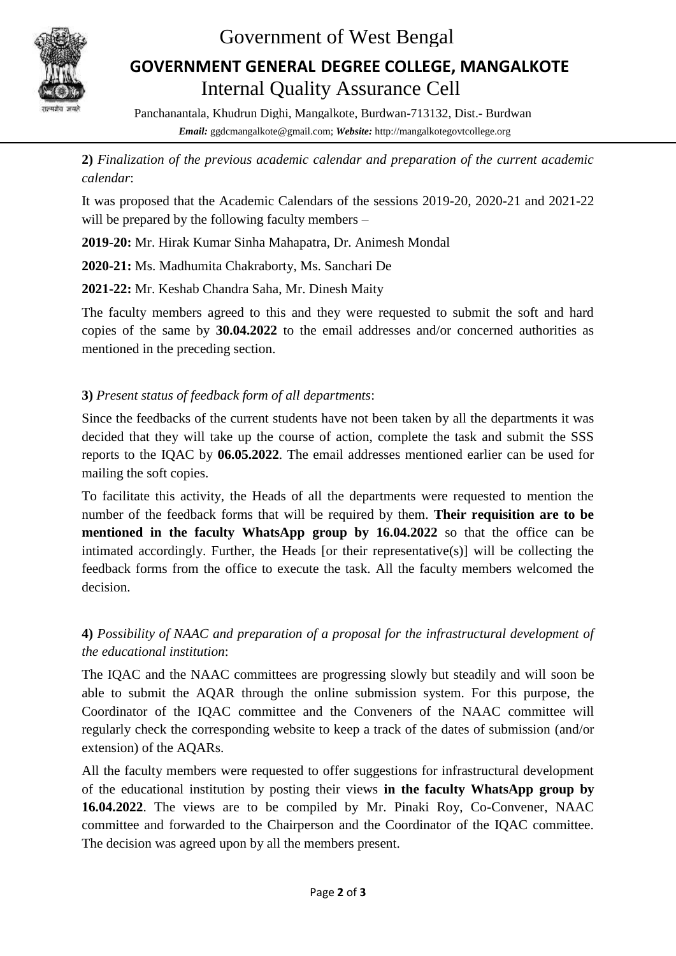

## Government of West Bengal

# Internal Quality Assurance Cell **GOVERNMENT GENERAL DEGREE COLLEGE, MANGALKOTE**

Panchanantala, Khudrun Dighi, Mangalkote, Burdwan-713132, Dist.- Burdwan *Email:* ggdcmangalkote@gmail.com; *Website:* http://mangalkotegovtcollege.org

**2)** *Finalization of the previous academic calendar and preparation of the current academic calendar*:

It was proposed that the Academic Calendars of the sessions 2019-20, 2020-21 and 2021-22 will be prepared by the following faculty members –

**2019-20:** Mr. Hirak Kumar Sinha Mahapatra, Dr. Animesh Mondal

**2020-21:** Ms. Madhumita Chakraborty, Ms. Sanchari De

**2021-22:** Mr. Keshab Chandra Saha, Mr. Dinesh Maity

The faculty members agreed to this and they were requested to submit the soft and hard copies of the same by **30.04.2022** to the email addresses and/or concerned authorities as mentioned in the preceding section.

#### **3)** *Present status of feedback form of all departments*:

Since the feedbacks of the current students have not been taken by all the departments it was decided that they will take up the course of action, complete the task and submit the SSS reports to the IQAC by **06.05.2022**. The email addresses mentioned earlier can be used for mailing the soft copies.

To facilitate this activity, the Heads of all the departments were requested to mention the number of the feedback forms that will be required by them. **Their requisition are to be mentioned in the faculty WhatsApp group by 16.04.2022** so that the office can be intimated accordingly. Further, the Heads [or their representative(s)] will be collecting the feedback forms from the office to execute the task. All the faculty members welcomed the decision.

### **4)** *Possibility of NAAC and preparation of a proposal for the infrastructural development of the educational institution*:

The IQAC and the NAAC committees are progressing slowly but steadily and will soon be able to submit the AQAR through the online submission system. For this purpose, the Coordinator of the IQAC committee and the Conveners of the NAAC committee will regularly check the corresponding website to keep a track of the dates of submission (and/or extension) of the AQARs.

All the faculty members were requested to offer suggestions for infrastructural development of the educational institution by posting their views **in the faculty WhatsApp group by 16.04.2022**. The views are to be compiled by Mr. Pinaki Roy, Co-Convener, NAAC committee and forwarded to the Chairperson and the Coordinator of the IQAC committee. The decision was agreed upon by all the members present.